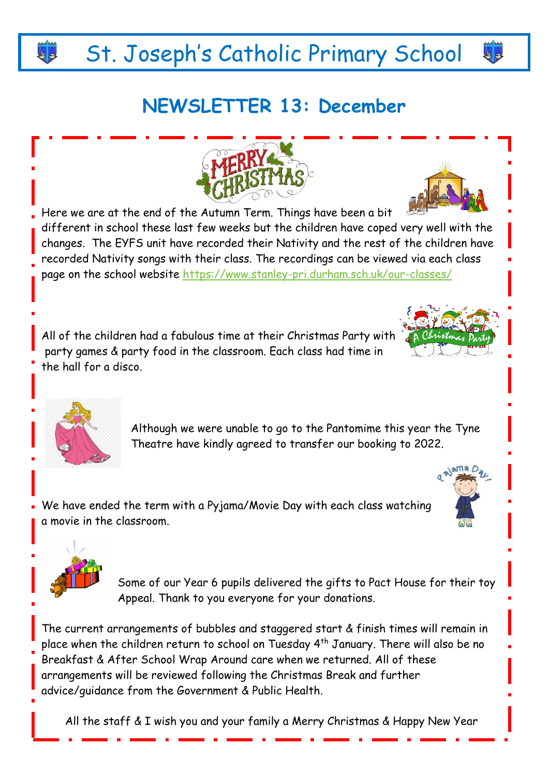# St. Joseph's Catholic Primary School

### **NEWSLETTER 13: December**

Here we are at the end of the Autumn Term. Things have been a bit different in school these last few weeks but the children have coped very well with the changes. The EYFS unit have recorded their Nativity and the rest of the children have recorded Nativity songs with their class. The recordings can be viewed via each class page on the school website<https://www.stanley-pri.durham.sch.uk/our-classes/>

All of the children had a fabulous time at their Christmas Party with party games & party food in the classroom. Each class had time in the hall for a disco.

> Although we were unable to go to the Pantomime this year the Tyne Theatre have kindly agreed to transfer our booking to 2022.

We have ended the term with a Pyjama/Movie Day with each class watching a movie in the classroom.

> Some of our Year 6 pupils delivered the gifts to Pact House for their toy Appeal. Thank to you everyone for your donations.

The current arrangements of bubbles and staggered start & finish times will remain in place when the children return to school on Tuesday 4<sup>th</sup> January. There will also be no Breakfast & After School Wrap Around care when we returned. All of these arrangements will be reviewed following the Christmas Break and further advice/guidance from the Government & Public Health.

All the staff & I wish you and your family a Merry Christmas & Happy New Year













44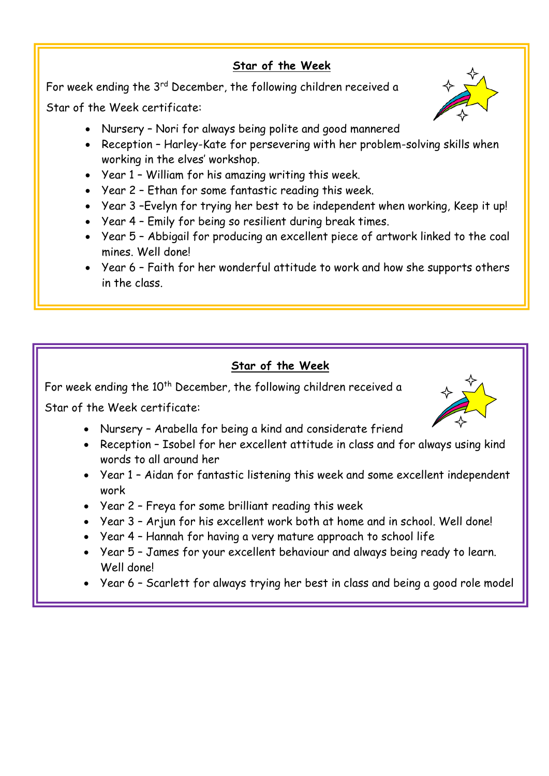#### **Star of the Week**

For week ending the 3<sup>rd</sup> December, the following children received a

Star of the Week certificate:

- Nursery Nori for always being polite and good mannered
- Reception Harley-Kate for persevering with her problem-solving skills when working in the elves' workshop.
- Year 1 William for his amazing writing this week.
- Year 2 Ethan for some fantastic reading this week.
- Year 3 –Evelyn for trying her best to be independent when working, Keep it up!
- Year 4 Emily for being so resilient during break times.
- Year 5 Abbigail for producing an excellent piece of artwork linked to the coal mines. Well done!
- Year 6 Faith for her wonderful attitude to work and how she supports others in the class.

#### **Star of the Week**

For week ending the 10<sup>th</sup> December, the following children received a

Star of the Week certificate:

- Nursery Arabella for being a kind and considerate friend
- Reception Isobel for her excellent attitude in class and for always using kind words to all around her
- Year 1 Aidan for fantastic listening this week and some excellent independent work
- Year 2 Freya for some brilliant reading this week
- Year 3 Arjun for his excellent work both at home and in school. Well done!
- Year 4 Hannah for having a very mature approach to school life
- Year 5 James for your excellent behaviour and always being ready to learn. Well done!
- Year 6 Scarlett for always trying her best in class and being a good role model